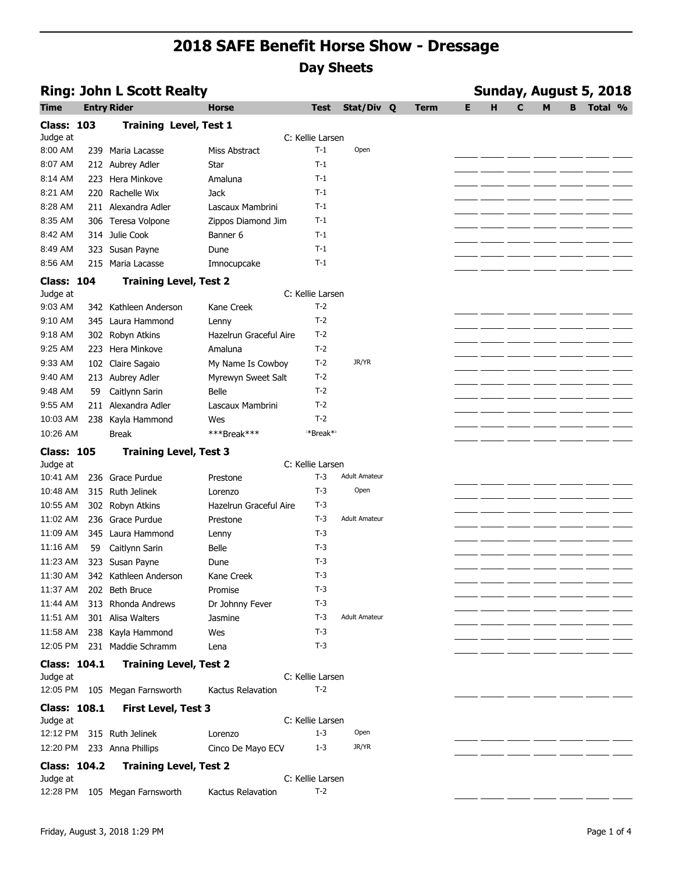|                     |    | <b>Ring: John L Scott Realty</b> |                        |                  |                      |  |             |   | Sunday, August 5, 2018 |             |   |   |         |  |
|---------------------|----|----------------------------------|------------------------|------------------|----------------------|--|-------------|---|------------------------|-------------|---|---|---------|--|
| Time                |    | <b>Entry Rider</b>               | <b>Horse</b>           | <b>Test</b>      | Stat/Div Q           |  | <b>Term</b> | E | H                      | $\mathbf C$ | M | B | Total % |  |
| <b>Class: 103</b>   |    | <b>Training Level, Test 1</b>    |                        |                  |                      |  |             |   |                        |             |   |   |         |  |
| Judge at            |    |                                  |                        | C: Kellie Larsen |                      |  |             |   |                        |             |   |   |         |  |
| 8:00 AM             |    | 239 Maria Lacasse                | Miss Abstract          | $T-1$            | Open                 |  |             |   |                        |             |   |   |         |  |
| 8:07 AM             |    | 212 Aubrey Adler                 | Star                   | $T-1$            |                      |  |             |   |                        |             |   |   |         |  |
| 8:14 AM             |    | 223 Hera Minkove                 | Amaluna                | $T-1$            |                      |  |             |   |                        |             |   |   |         |  |
| 8:21 AM             |    | 220 Rachelle Wix                 | Jack                   | $T-1$            |                      |  |             |   |                        |             |   |   |         |  |
| 8:28 AM             |    | 211 Alexandra Adler              | Lascaux Mambrini       | $T-1$            |                      |  |             |   |                        |             |   |   |         |  |
| 8:35 AM             |    | 306 Teresa Volpone               | Zippos Diamond Jim     | $T-1$            |                      |  |             |   |                        |             |   |   |         |  |
| 8:42 AM             |    | 314 Julie Cook                   | Banner <sub>6</sub>    | $T-1$            |                      |  |             |   |                        |             |   |   |         |  |
| 8:49 AM             |    | 323 Susan Payne                  | Dune                   | $T-1$            |                      |  |             |   |                        |             |   |   |         |  |
| 8:56 AM             |    | 215 Maria Lacasse                | Imnocupcake            | $T-1$            |                      |  |             |   |                        |             |   |   |         |  |
| <b>Class: 104</b>   |    | <b>Training Level, Test 2</b>    |                        |                  |                      |  |             |   |                        |             |   |   |         |  |
| Judge at            |    |                                  |                        | C: Kellie Larsen |                      |  |             |   |                        |             |   |   |         |  |
| 9:03 AM             |    | 342 Kathleen Anderson            | Kane Creek             | $T-2$            |                      |  |             |   |                        |             |   |   |         |  |
| 9:10 AM             |    | 345 Laura Hammond                | Lenny                  | $T-2$            |                      |  |             |   |                        |             |   |   |         |  |
| 9:18 AM             |    | 302 Robyn Atkins                 | Hazelrun Graceful Aire | $T-2$            |                      |  |             |   |                        |             |   |   |         |  |
| 9:25 AM             |    | 223 Hera Minkove                 | Amaluna                | $T-2$            |                      |  |             |   |                        |             |   |   |         |  |
| 9:33 AM             |    | 102 Claire Sagaio                | My Name Is Cowboy      | $T-2$            | JR/YR                |  |             |   |                        |             |   |   |         |  |
| 9:40 AM             |    | 213 Aubrey Adler                 | Myrewyn Sweet Salt     | $T-2$            |                      |  |             |   |                        |             |   |   |         |  |
| 9:48 AM             | 59 | Caitlynn Sarin                   | <b>Belle</b>           | $T-2$            |                      |  |             |   |                        |             |   |   |         |  |
| 9:55 AM             |    | 211 Alexandra Adler              | Lascaux Mambrini       | $T-2$            |                      |  |             |   |                        |             |   |   |         |  |
| 10:03 AM            |    | 238 Kayla Hammond                | Wes                    | $T-2$            |                      |  |             |   |                        |             |   |   |         |  |
| 10:26 AM            |    | <b>Break</b>                     | ***Break***            | **Break**        |                      |  |             |   |                        |             |   |   |         |  |
| <b>Class: 105</b>   |    | <b>Training Level, Test 3</b>    |                        |                  |                      |  |             |   |                        |             |   |   |         |  |
| Judge at            |    |                                  |                        | C: Kellie Larsen |                      |  |             |   |                        |             |   |   |         |  |
| 10:41 AM            |    | 236 Grace Purdue                 | Prestone               | $T-3$            | <b>Adult Amateur</b> |  |             |   |                        |             |   |   |         |  |
| 10:48 AM            |    | 315 Ruth Jelinek                 | Lorenzo                | $T-3$            | Open                 |  |             |   |                        |             |   |   |         |  |
| 10:55 AM            |    | 302 Robyn Atkins                 | Hazelrun Graceful Aire | $T-3$            |                      |  |             |   |                        |             |   |   |         |  |
| 11:02 AM            |    | 236 Grace Purdue                 | Prestone               | $T-3$            | <b>Adult Amateur</b> |  |             |   |                        |             |   |   |         |  |
| 11:09 AM            |    | 345 Laura Hammond                | Lenny                  | $T-3$            |                      |  |             |   |                        |             |   |   |         |  |
| 11:16 AM            | 59 | Caitlynn Sarin                   | Belle                  | $T-3$            |                      |  |             |   |                        |             |   |   |         |  |
| 11:23 AM            |    | 323 Susan Payne                  | Dune                   | $T-3$            |                      |  |             |   |                        |             |   |   |         |  |
| 11:30 AM            |    | 342 Kathleen Anderson            | Kane Creek             | $T-3$            |                      |  |             |   |                        |             |   |   |         |  |
| 11:37 AM            |    | 202 Beth Bruce                   | Promise                | $T-3$            |                      |  |             |   |                        |             |   |   |         |  |
| 11:44 AM            |    | 313 Rhonda Andrews               | Dr Johnny Fever        | T-3              |                      |  |             |   |                        |             |   |   |         |  |
| 11:51 AM            |    | 301 Alisa Walters                | Jasmine                | $T-3$            | <b>Adult Amateur</b> |  |             |   |                        |             |   |   |         |  |
| 11:58 AM            |    | 238 Kayla Hammond                | Wes                    | $T-3$            |                      |  |             |   |                        |             |   |   |         |  |
|                     |    | 12:05 PM 231 Maddie Schramm      | Lena                   | $T-3$            |                      |  |             |   |                        |             |   |   |         |  |
| <b>Class: 104.1</b> |    | <b>Training Level, Test 2</b>    |                        |                  |                      |  |             |   |                        |             |   |   |         |  |
| Judge at            |    |                                  |                        | C: Kellie Larsen |                      |  |             |   |                        |             |   |   |         |  |
| 12:05 PM            |    | 105 Megan Farnsworth             | Kactus Relavation      | $T-2$            |                      |  |             |   |                        |             |   |   |         |  |
| <b>Class: 108.1</b> |    | <b>First Level, Test 3</b>       |                        |                  |                      |  |             |   |                        |             |   |   |         |  |
| Judge at            |    |                                  |                        | C: Kellie Larsen |                      |  |             |   |                        |             |   |   |         |  |
| 12:12 PM            |    | 315 Ruth Jelinek                 | Lorenzo                | $1 - 3$          | Open                 |  |             |   |                        |             |   |   |         |  |
| 12:20 PM            |    | 233 Anna Phillips                | Cinco De Mayo ECV      | $1 - 3$          | JR/YR                |  |             |   |                        |             |   |   |         |  |
| <b>Class: 104.2</b> |    | <b>Training Level, Test 2</b>    |                        |                  |                      |  |             |   |                        |             |   |   |         |  |
| Judge at            |    |                                  |                        | C: Kellie Larsen |                      |  |             |   |                        |             |   |   |         |  |
|                     |    | 12:28 PM 105 Megan Farnsworth    | Kactus Relavation      | $T-2$            |                      |  |             |   |                        |             |   |   |         |  |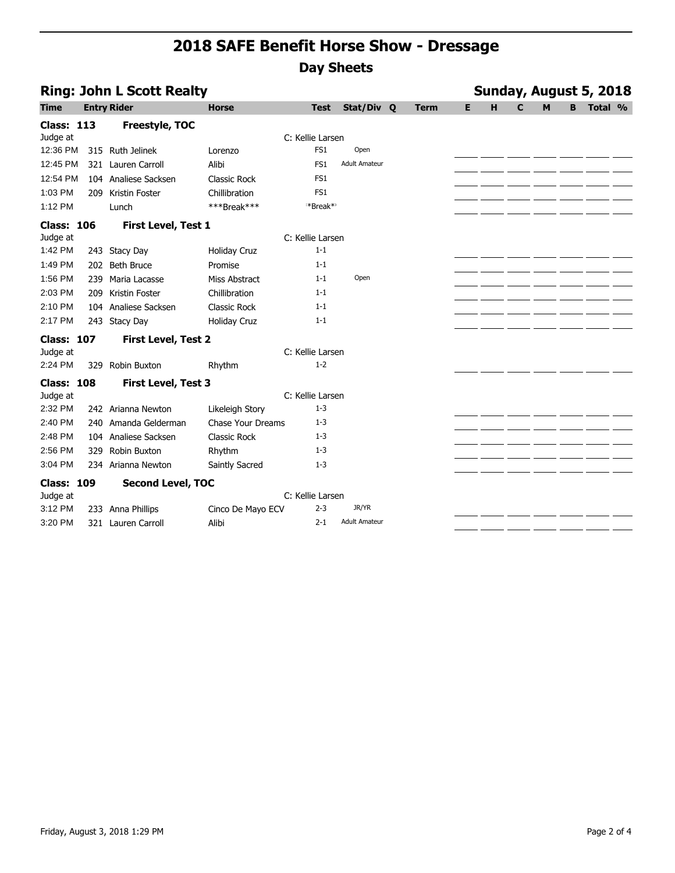| <b>Ring: John L Scott Realty</b> |  |                            |                     |                  |                      |  |             | Sunday, August 5, 2018 |   |              |   |   |         |  |  |  |
|----------------------------------|--|----------------------------|---------------------|------------------|----------------------|--|-------------|------------------------|---|--------------|---|---|---------|--|--|--|
| <b>Time</b>                      |  | <b>Entry Rider</b>         | <b>Horse</b>        | <b>Test</b>      | Stat/Div Q           |  | <b>Term</b> | E                      | H | $\mathbf{C}$ | M | B | Total % |  |  |  |
| <b>Class: 113</b>                |  | Freestyle, TOC             |                     |                  |                      |  |             |                        |   |              |   |   |         |  |  |  |
| Judge at                         |  |                            |                     | C: Kellie Larsen |                      |  |             |                        |   |              |   |   |         |  |  |  |
| 12:36 PM                         |  | 315 Ruth Jelinek           | Lorenzo             | FS1              | Open                 |  |             |                        |   |              |   |   |         |  |  |  |
| 12:45 PM                         |  | 321 Lauren Carroll         | Alibi               | FS <sub>1</sub>  | <b>Adult Amateur</b> |  |             |                        |   |              |   |   |         |  |  |  |
| 12:54 PM                         |  | 104 Analiese Sacksen       | Classic Rock        | FS1              |                      |  |             |                        |   |              |   |   |         |  |  |  |
| 1:03 PM                          |  | 209 Kristin Foster         | Chillibration       | FS <sub>1</sub>  |                      |  |             |                        |   |              |   |   |         |  |  |  |
| 1:12 PM                          |  | Lunch                      | ***Break***         | *Break*'         |                      |  |             |                        |   |              |   |   |         |  |  |  |
| <b>Class: 106</b>                |  | <b>First Level, Test 1</b> |                     |                  |                      |  |             |                        |   |              |   |   |         |  |  |  |
| Judge at                         |  |                            |                     | C: Kellie Larsen |                      |  |             |                        |   |              |   |   |         |  |  |  |
| 1:42 PM                          |  | 243 Stacy Day              | <b>Holiday Cruz</b> | $1 - 1$          |                      |  |             |                        |   |              |   |   |         |  |  |  |
| 1:49 PM                          |  | 202 Beth Bruce             | Promise             | $1 - 1$          |                      |  |             |                        |   |              |   |   |         |  |  |  |
| 1:56 PM                          |  | 239 Maria Lacasse          | Miss Abstract       | $1 - 1$          | Open                 |  |             |                        |   |              |   |   |         |  |  |  |
| 2:03 PM                          |  | 209 Kristin Foster         | Chillibration       | $1 - 1$          |                      |  |             |                        |   |              |   |   |         |  |  |  |
| 2:10 PM                          |  | 104 Analiese Sacksen       | Classic Rock        | $1 - 1$          |                      |  |             |                        |   |              |   |   |         |  |  |  |
| 2:17 PM                          |  | 243 Stacy Day              | <b>Holiday Cruz</b> | $1 - 1$          |                      |  |             |                        |   |              |   |   |         |  |  |  |
| <b>Class: 107</b>                |  | <b>First Level, Test 2</b> |                     |                  |                      |  |             |                        |   |              |   |   |         |  |  |  |
| Judge at                         |  |                            |                     | C: Kellie Larsen |                      |  |             |                        |   |              |   |   |         |  |  |  |
| 2:24 PM                          |  | 329 Robin Buxton           | Rhythm              | $1 - 2$          |                      |  |             |                        |   |              |   |   |         |  |  |  |
| <b>Class: 108</b>                |  | <b>First Level, Test 3</b> |                     |                  |                      |  |             |                        |   |              |   |   |         |  |  |  |
| Judge at                         |  |                            |                     | C: Kellie Larsen |                      |  |             |                        |   |              |   |   |         |  |  |  |
| 2:32 PM                          |  | 242 Arianna Newton         | Likeleigh Story     | $1 - 3$          |                      |  |             |                        |   |              |   |   |         |  |  |  |
| 2:40 PM                          |  | 240 Amanda Gelderman       | Chase Your Dreams   | $1 - 3$          |                      |  |             |                        |   |              |   |   |         |  |  |  |
| 2:48 PM                          |  | 104 Analiese Sacksen       | Classic Rock        | $1 - 3$          |                      |  |             |                        |   |              |   |   |         |  |  |  |
| 2:56 PM                          |  | 329 Robin Buxton           | Rhythm              | $1 - 3$          |                      |  |             |                        |   |              |   |   |         |  |  |  |
| 3:04 PM                          |  | 234 Arianna Newton         | Saintly Sacred      | $1 - 3$          |                      |  |             |                        |   |              |   |   |         |  |  |  |
| <b>Class: 109</b>                |  | <b>Second Level, TOC</b>   |                     |                  |                      |  |             |                        |   |              |   |   |         |  |  |  |
| Judge at                         |  |                            |                     | C: Kellie Larsen |                      |  |             |                        |   |              |   |   |         |  |  |  |
| 3:12 PM                          |  | 233 Anna Phillips          | Cinco De Mayo ECV   | $2 - 3$          | JR/YR                |  |             |                        |   |              |   |   |         |  |  |  |
| 3:20 PM                          |  | 321 Lauren Carroll         | Alibi               | $2 - 1$          | <b>Adult Amateur</b> |  |             |                        |   |              |   |   |         |  |  |  |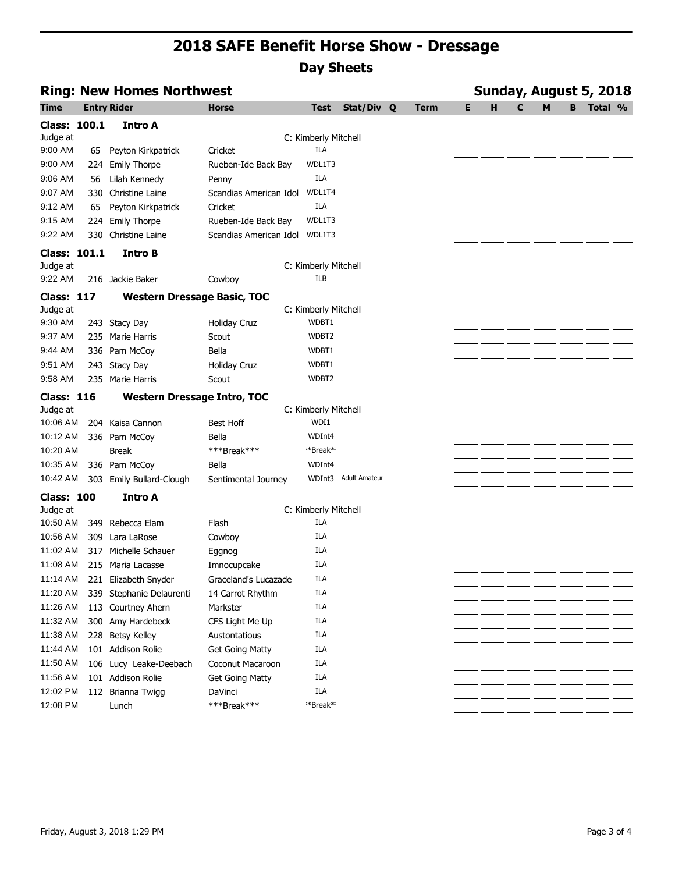| <b>Ring: New Homes Northwest</b> |     |                                    |                        |                      |               |  |             | Sunday, August 5, 2018 |   |              |   |   |         |  |  |  |
|----------------------------------|-----|------------------------------------|------------------------|----------------------|---------------|--|-------------|------------------------|---|--------------|---|---|---------|--|--|--|
| Time                             |     | <b>Entry Rider</b>                 | <b>Horse</b>           | <b>Test</b>          | Stat/Div Q    |  | <b>Term</b> | E.                     | н | $\mathbf{C}$ | M | B | Total % |  |  |  |
| <b>Class: 100.1</b>              |     | <b>Intro A</b>                     |                        |                      |               |  |             |                        |   |              |   |   |         |  |  |  |
| Judge at                         |     |                                    |                        | C: Kimberly Mitchell |               |  |             |                        |   |              |   |   |         |  |  |  |
| 9:00 AM                          | 65  | Peyton Kirkpatrick                 | Cricket                | <b>ILA</b>           |               |  |             |                        |   |              |   |   |         |  |  |  |
| 9:00 AM                          | 224 | <b>Emily Thorpe</b>                | Rueben-Ide Back Bay    | WDL1T3               |               |  |             |                        |   |              |   |   |         |  |  |  |
| 9:06 AM                          | 56  | Lilah Kennedy                      | Penny                  | ILA                  |               |  |             |                        |   |              |   |   |         |  |  |  |
| 9:07 AM                          |     | 330 Christine Laine                | Scandias American Idol | WDL1T4               |               |  |             |                        |   |              |   |   |         |  |  |  |
| 9:12 AM                          | 65  | Peyton Kirkpatrick                 | Cricket                | ILA                  |               |  |             |                        |   |              |   |   |         |  |  |  |
| 9:15 AM                          |     | 224 Emily Thorpe                   | Rueben-Ide Back Bay    | WDL1T3               |               |  |             |                        |   |              |   |   |         |  |  |  |
| 9:22 AM                          |     | 330 Christine Laine                | Scandias American Idol | WDL1T3               |               |  |             |                        |   |              |   |   |         |  |  |  |
| <b>Class: 101.1</b>              |     | <b>Intro B</b>                     |                        |                      |               |  |             |                        |   |              |   |   |         |  |  |  |
| Judge at                         |     |                                    |                        | C: Kimberly Mitchell |               |  |             |                        |   |              |   |   |         |  |  |  |
| 9:22 AM                          |     | 216 Jackie Baker                   | Cowboy                 | <b>ILB</b>           |               |  |             |                        |   |              |   |   |         |  |  |  |
| Class: 117                       |     | <b>Western Dressage Basic, TOC</b> |                        |                      |               |  |             |                        |   |              |   |   |         |  |  |  |
| Judge at                         |     |                                    |                        | C: Kimberly Mitchell |               |  |             |                        |   |              |   |   |         |  |  |  |
| 9:30 AM                          |     | 243 Stacy Day                      | <b>Holiday Cruz</b>    | WDBT1                |               |  |             |                        |   |              |   |   |         |  |  |  |
| 9:37 AM                          |     | 235 Marie Harris                   | Scout                  | WDBT2                |               |  |             |                        |   |              |   |   |         |  |  |  |
| 9:44 AM                          |     | 336 Pam McCoy                      | Bella                  | WDBT1                |               |  |             |                        |   |              |   |   |         |  |  |  |
| 9:51 AM                          |     | 243 Stacy Day                      | <b>Holiday Cruz</b>    | WDBT1                |               |  |             |                        |   |              |   |   |         |  |  |  |
| 9:58 AM                          |     | 235 Marie Harris                   | Scout                  | WDBT2                |               |  |             |                        |   |              |   |   |         |  |  |  |
| <b>Class: 116</b>                |     | <b>Western Dressage Intro, TOC</b> |                        |                      |               |  |             |                        |   |              |   |   |         |  |  |  |
| Judge at                         |     |                                    |                        | C: Kimberly Mitchell |               |  |             |                        |   |              |   |   |         |  |  |  |
| 10:06 AM                         |     | 204 Kaisa Cannon                   | <b>Best Hoff</b>       | WDI1                 |               |  |             |                        |   |              |   |   |         |  |  |  |
| 10:12 AM                         |     | 336 Pam McCoy                      | Bella                  | WDInt4               |               |  |             |                        |   |              |   |   |         |  |  |  |
| 10:20 AM                         |     | <b>Break</b>                       | ***Break***            | **Break**            |               |  |             |                        |   |              |   |   |         |  |  |  |
| 10:35 AM                         |     | 336 Pam McCoy                      | Bella                  | WDInt4               |               |  |             |                        |   |              |   |   |         |  |  |  |
| 10:42 AM                         |     | 303 Emily Bullard-Clough           | Sentimental Journey    | WDInt3               | Adult Amateur |  |             |                        |   |              |   |   |         |  |  |  |
| <b>Class: 100</b>                |     | <b>Intro A</b>                     |                        |                      |               |  |             |                        |   |              |   |   |         |  |  |  |
| Judge at                         |     |                                    |                        | C: Kimberly Mitchell |               |  |             |                        |   |              |   |   |         |  |  |  |
| 10:50 AM                         |     | 349 Rebecca Elam                   | Flash                  | ILA                  |               |  |             |                        |   |              |   |   |         |  |  |  |
| 10:56 AM                         |     | 309 Lara LaRose                    | Cowboy                 | <b>ILA</b>           |               |  |             |                        |   |              |   |   |         |  |  |  |
| 11:02 AM                         |     | 317 Michelle Schauer               | Eggnog                 | ILA                  |               |  |             |                        |   |              |   |   |         |  |  |  |
| 11:08 AM                         |     | 215 Maria Lacasse                  | Imnocupcake            | ILA                  |               |  |             |                        |   |              |   |   |         |  |  |  |
| 11:14 AM                         |     | 221 Elizabeth Snyder               | Graceland's Lucazade   | ILA                  |               |  |             |                        |   |              |   |   |         |  |  |  |
| 11:20 AM                         |     | 339 Stephanie Delaurenti           | 14 Carrot Rhythm       | ILA                  |               |  |             |                        |   |              |   |   |         |  |  |  |
| 11:26 AM                         |     | 113 Courtney Ahern                 | Markster               | ILA                  |               |  |             |                        |   |              |   |   |         |  |  |  |
| 11:32 AM                         |     | 300 Amy Hardebeck                  | CFS Light Me Up        | ILA                  |               |  |             |                        |   |              |   |   |         |  |  |  |
| 11:38 AM                         |     | 228 Betsy Kelley                   | Austontatious          | ILA                  |               |  |             |                        |   |              |   |   |         |  |  |  |
| 11:44 AM                         |     | 101 Addison Rolie                  | <b>Get Going Matty</b> | ILA                  |               |  |             |                        |   |              |   |   |         |  |  |  |
| 11:50 AM                         |     | 106 Lucy Leake-Deebach             | Coconut Macaroon       | ILA                  |               |  |             |                        |   |              |   |   |         |  |  |  |
| 11:56 AM                         |     | 101 Addison Rolie                  | <b>Get Going Matty</b> | ILA                  |               |  |             |                        |   |              |   |   |         |  |  |  |
| 12:02 PM                         |     | 112 Brianna Twigg                  | DaVinci                | ILA                  |               |  |             |                        |   |              |   |   |         |  |  |  |
| 12:08 PM                         |     | Lunch                              | ***Break***            | *Break* <sup>*</sup> |               |  |             |                        |   |              |   |   |         |  |  |  |